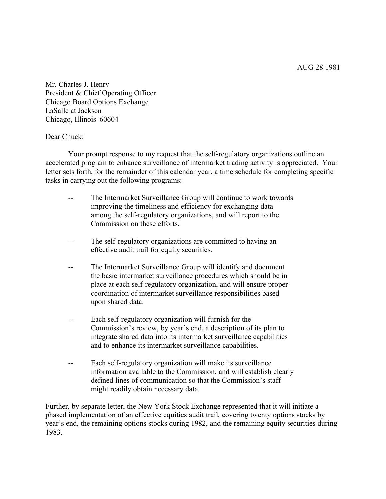AUG 28 1981

Mr. Charles J. Henry President & Chief Operating Officer Chicago Board Options Exchange LaSalle at Jackson Chicago, Illinois 60604

## Dear Chuck:

Your prompt response to my request that the self-regulatory organizations outline an accelerated program to enhance surveillance of intermarket trading activity is appreciated. Your letter sets forth, for the remainder of this calendar year, a time schedule for completing specific tasks in carrying out the following programs:

- -- The Intermarket Surveillance Group will continue to work towards improving the timeliness and efficiency for exchanging data among the self-regulatory organizations, and will report to the Commission on these efforts.
- -- The self-regulatory organizations are committed to having an effective audit trail for equity securities.
- -- The Intermarket Surveillance Group will identify and document the basic intermarket surveillance procedures which should be in place at each self-regulatory organization, and will ensure proper coordination of intermarket surveillance responsibilities based upon shared data.
- Each self-regulatory organization will furnish for the Commission's review, by year's end, a description of its plan to integrate shared data into its intermarket surveillance capabilities and to enhance its intermarket surveillance capabilities.
- -- Each self-regulatory organization will make its surveillance information available to the Commission, and will establish clearly defined lines of communication so that the Commission's staff might readily obtain necessary data.

Further, by separate letter, the New York Stock Exchange represented that it will initiate a phased implementation of an effective equities audit trail, covering twenty options stocks by year's end, the remaining options stocks during 1982, and the remaining equity securities during 1983.